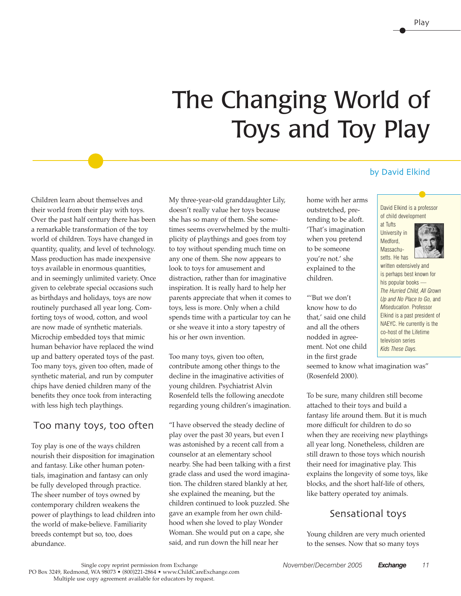# The Changing World of Toys and Toy Play

home with her arms outstretched, pretending to be aloft. 'That's imagination when you pretend to be someone you're not.' she explained to the children.

"'But we don't know how to do that,' said one child and all the others nodded in agreement. Not one child in the first grade

#### Children learn about themselves and their world from their play with toys. Over the past half century there has been a remarkable transformation of the toy world of children. Toys have changed in quantity, quality, and level of technology. Mass production has made inexpensive toys available in enormous quantities, and in seemingly unlimited variety. Once given to celebrate special occasions such as birthdays and holidays, toys are now routinely purchased all year long. Comforting toys of wood, cotton, and wool are now made of synthetic materials. Microchip embedded toys that mimic human behavior have replaced the wind up and battery operated toys of the past. Too many toys, given too often, made of synthetic material, and run by computer chips have denied children many of the benefits they once took from interacting with less high tech playthings.

## Too many toys, too often

Toy play is one of the ways children nourish their disposition for imagination and fantasy. Like other human potentials, imagination and fantasy can only be fully developed through practice. The sheer number of toys owned by contemporary children weakens the power of playthings to lead children into the world of make-believe. Familiarity breeds contempt but so, too, does abundance.

My three-year-old granddaughter Lily, doesn't really value her toys because she has so many of them. She sometimes seems overwhelmed by the multiplicity of playthings and goes from toy to toy without spending much time on any one of them. She now appears to look to toys for amusement and distraction, rather than for imaginative inspiration. It is really hard to help her parents appreciate that when it comes to toys, less is more. Only when a child spends time with a particular toy can he or she weave it into a story tapestry of his or her own invention.

Too many toys, given too often, contribute among other things to the decline in the imaginative activities of young children. Psychiatrist Alvin Rosenfeld tells the following anecdote regarding young children's imagination.

"I have observed the steady decline of play over the past 30 years, but even I was astonished by a recent call from a counselor at an elementary school nearby. She had been talking with a first grade class and used the word imagination. The children stared blankly at her, she explained the meaning, but the children continued to look puzzled. She gave an example from her own childhood when she loved to play Wonder Woman. She would put on a cape, she said, and run down the hill near her

#### by David Elkind

David Elkind is a professor of child development

at Tufts University in Medford, Massachusetts. He has



written extensively and is perhaps best known for his popular books — *The Hurried Child, All Grown Up and No Place to Go,* and *Miseducation*. Professor Elkind is a past president of NAEYC. He currently is the co-host of the Lifetime television series *Kids These Days.*

seemed to know what imagination was" (Rosenfeld 2000).

To be sure, many children still become attached to their toys and build a fantasy life around them. But it is much more difficult for children to do so when they are receiving new playthings all year long. Nonetheless, children are still drawn to those toys which nourish their need for imaginative play. This explains the longevity of some toys, like blocks, and the short half-life of others, like battery operated toy animals.

# Sensational toys

Young children are very much oriented to the senses. Now that so many toys